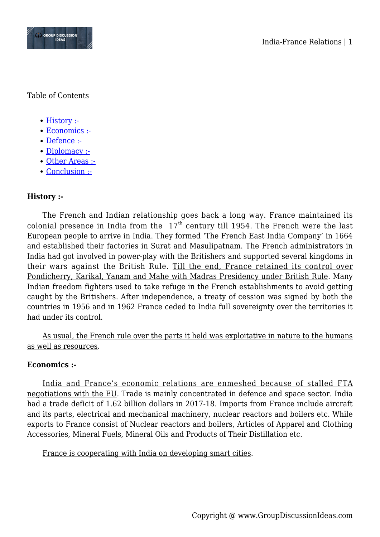

Table of Contents

- [History :-](#page--1-0)
- [Economics :-](#page--1-0)
- [Defence :-](#page--1-0)
- [Diplomacy :-](#page--1-0)
- [Other Areas :-](#page--1-0)
- [Conclusion :-](#page--1-0)

# **History :-**

The French and Indian relationship goes back a long way. France maintained its colonial presence in India from the  $17<sup>th</sup>$  century till 1954. The French were the last European people to arrive in India. They formed 'The French East India Company' in 1664 and established their factories in Surat and Masulipatnam. The French administrators in India had got involved in power-play with the Britishers and supported several kingdoms in their wars against the British Rule. Till the end, France retained its control over Pondicherry, Karikal, Yanam and Mahe with Madras Presidency under British Rule. Many Indian freedom fighters used to take refuge in the French establishments to avoid getting caught by the Britishers. After independence, a treaty of cession was signed by both the countries in 1956 and in 1962 France ceded to India full sovereignty over the territories it had under its control.

As usual, the French rule over the parts it held was exploitative in nature to the humans as well as resources.

## **Economics :-**

India and France's economic relations are enmeshed because of stalled FTA negotiations with the EU. Trade is mainly concentrated in defence and space sector. India had a trade deficit of 1.62 billion dollars in 2017-18. Imports from France include aircraft and its parts, electrical and mechanical machinery, nuclear reactors and boilers etc. While exports to France consist of Nuclear reactors and boilers, Articles of Apparel and Clothing Accessories, Mineral Fuels, Mineral Oils and Products of Their Distillation etc.

France is cooperating with India on developing smart cities.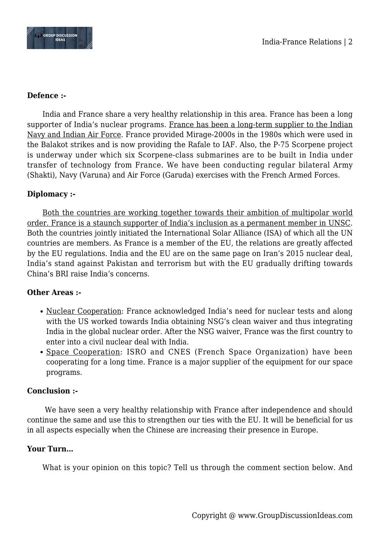

#### **Defence :-**

India and France share a very healthy relationship in this area. France has been a long supporter of India's nuclear programs. France has been a long-term supplier to the Indian Navy and Indian Air Force. France provided Mirage-2000s in the 1980s which were used in the Balakot strikes and is now providing the Rafale to IAF. Also, the P-75 Scorpene project is underway under which six Scorpene-class submarines are to be built in India under transfer of technology from France. We have been conducting regular bilateral Army (Shakti), Navy (Varuna) and Air Force (Garuda) exercises with the French Armed Forces.

### **Diplomacy :-**

Both the countries are working together towards their ambition of multipolar world order. France is a staunch supporter of India's inclusion as a permanent member in UNSC. Both the countries jointly initiated the International Solar Alliance (ISA) of which all the UN countries are members. As France is a member of the EU, the relations are greatly affected by the EU regulations. India and the EU are on the same page on Iran's 2015 nuclear deal, India's stand against Pakistan and terrorism but with the EU gradually drifting towards China's BRI raise India's concerns.

### **Other Areas :-**

- Nuclear Cooperation: France acknowledged India's need for nuclear tests and along with the US worked towards India obtaining NSG's clean waiver and thus integrating India in the global nuclear order. After the NSG waiver, France was the first country to enter into a civil nuclear deal with India.
- Space Cooperation: ISRO and CNES (French Space Organization) have been cooperating for a long time. France is a major supplier of the equipment for our space programs.

### **Conclusion :-**

 We have seen a very healthy relationship with France after independence and should continue the same and use this to strengthen our ties with the EU. It will be beneficial for us in all aspects especially when the Chinese are increasing their presence in Europe.

### **Your Turn…**

What is your opinion on this topic? Tell us through the comment section below. And